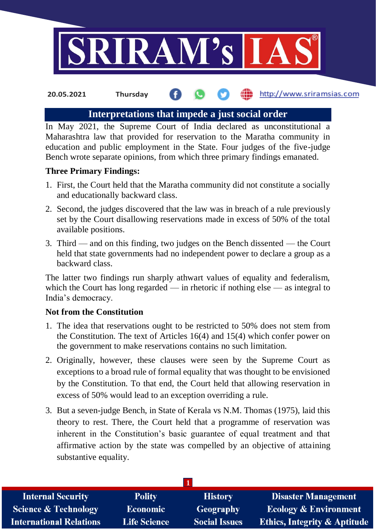

http://www.sriramsias.com **20.05.2021 Thursday**

# **Interpretations that impede a just social order**

In May 2021, the Supreme Court of India declared as unconstitutional a Maharashtra law that provided for reservation to the Maratha community in education and public employment in the State. Four judges of the five-judge Bench wrote separate opinions, from which three primary findings emanated.

# **Three Primary Findings:**

- 1. First, the Court held that the Maratha community did not constitute a socially and educationally backward class.
- 2. Second, the judges discovered that the law was in breach of a rule previously set by the Court disallowing reservations made in excess of 50% of the total available positions.
- 3. Third and on this finding, two judges on the Bench dissented the Court held that state governments had no independent power to declare a group as a backward class.

The latter two findings run sharply athwart values of equality and federalism, which the Court has long regarded — in rhetoric if nothing else — as integral to India's democracy.

# **Not from the Constitution**

- 1. The idea that reservations ought to be restricted to 50% does not stem from the Constitution. The text of Articles 16(4) and 15(4) which confer power on the government to make reservations contains no such limitation.
- 2. Originally, however, these clauses were seen by the Supreme Court as exceptions to a broad rule of formal equality that was thought to be envisioned by the Constitution. To that end, the Court held that allowing reservation in excess of 50% would lead to an exception overriding a rule.
- 3. But a seven-judge Bench, in State of Kerala vs N.M. Thomas (1975), laid this theory to rest. There, the Court held that a programme of reservation was inherent in the Constitution's basic guarantee of equal treatment and that affirmative action by the state was compelled by an objective of attaining substantive equality.

| <b>Internal Security</b>        | <b>Polity</b>       | <b>History</b>       | <b>Disaster Management</b>              |
|---------------------------------|---------------------|----------------------|-----------------------------------------|
| <b>Science &amp; Technology</b> | <b>Economic</b>     | Geography            | <b>Ecology &amp; Environment</b>        |
| International Relations         | <b>Life Science</b> | <b>Social Issues</b> | <b>Ethics, Integrity &amp; Aptitude</b> |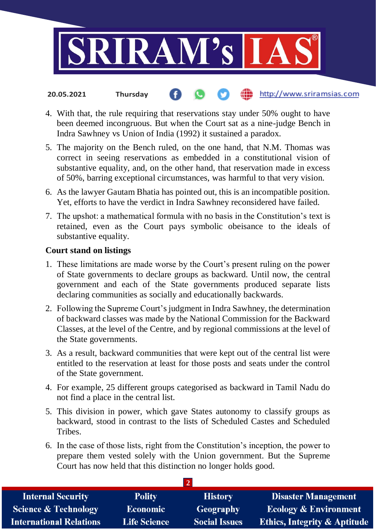

- http://www.sriramsias.com **20.05.2021 Thursday**
- 4. With that, the rule requiring that reservations stay under 50% ought to have been deemed incongruous. But when the Court sat as a nine-judge Bench in Indra Sawhney vs Union of India (1992) it sustained a paradox.
- 5. The majority on the Bench ruled, on the one hand, that N.M. Thomas was correct in seeing reservations as embedded in a constitutional vision of substantive equality, and, on the other hand, that reservation made in excess of 50%, barring exceptional circumstances, was harmful to that very vision.
- 6. As the lawyer Gautam Bhatia has pointed out, this is an incompatible position. Yet, efforts to have the verdict in Indra Sawhney reconsidered have failed.
- 7. The upshot: a mathematical formula with no basis in the Constitution's text is retained, even as the Court pays symbolic obeisance to the ideals of substantive equality.

### **Court stand on listings**

- 1. These limitations are made worse by the Court's present ruling on the power of State governments to declare groups as backward. Until now, the central government and each of the State governments produced separate lists declaring communities as socially and educationally backwards.
- 2. Following the Supreme Court's judgment in Indra Sawhney, the determination of backward classes was made by the National Commission for the Backward Classes, at the level of the Centre, and by regional commissions at the level of the State governments.
- 3. As a result, backward communities that were kept out of the central list were entitled to the reservation at least for those posts and seats under the control of the State government.
- 4. For example, 25 different groups categorised as backward in Tamil Nadu do not find a place in the central list.
- 5. This division in power, which gave States autonomy to classify groups as backward, stood in contrast to the lists of Scheduled Castes and Scheduled Tribes.
- 6. In the case of those lists, right from the Constitution's inception, the power to prepare them vested solely with the Union government. But the Supreme Court has now held that this distinction no longer holds good.

| <b>Internal Security</b>        | <b>Polity</b>       | <b>History</b>       | <b>Disaster Management</b>              |
|---------------------------------|---------------------|----------------------|-----------------------------------------|
| <b>Science &amp; Technology</b> | <b>Economic</b>     | Geography            | <b>Ecology &amp; Environment</b>        |
| <b>International Relations</b>  | <b>Life Science</b> | <b>Social Issues</b> | <b>Ethics, Integrity &amp; Aptitude</b> |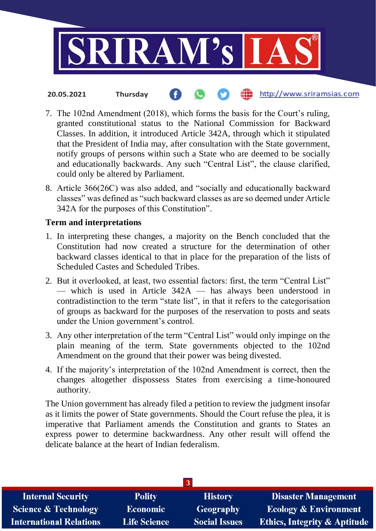

- http://www.sriramsias.com **20.05.2021 Thursday**
- 7. The 102nd Amendment (2018), which forms the basis for the Court's ruling, granted constitutional status to the National Commission for Backward Classes. In addition, it introduced Article 342A, through which it stipulated that the President of India may, after consultation with the State government, notify groups of persons within such a State who are deemed to be socially and educationally backwards. Any such "Central List", the clause clarified, could only be altered by Parliament.
- 8. Article 366(26C) was also added, and "socially and educationally backward classes" was defined as "such backward classes as are so deemed under Article 342A for the purposes of this Constitution".

### **Term and interpretations**

- 1. In interpreting these changes, a majority on the Bench concluded that the Constitution had now created a structure for the determination of other backward classes identical to that in place for the preparation of the lists of Scheduled Castes and Scheduled Tribes.
- 2. But it overlooked, at least, two essential factors: first, the term "Central List" — which is used in Article 342A — has always been understood in contradistinction to the term "state list", in that it refers to the categorisation of groups as backward for the purposes of the reservation to posts and seats under the Union government's control.
- 3. Any other interpretation of the term "Central List" would only impinge on the plain meaning of the term. State governments objected to the 102nd Amendment on the ground that their power was being divested.
- 4. If the majority's interpretation of the 102nd Amendment is correct, then the changes altogether dispossess States from exercising a time-honoured authority.

The Union government has already filed a petition to review the judgment insofar as it limits the power of State governments. Should the Court refuse the plea, it is imperative that Parliament amends the Constitution and grants to States an express power to determine backwardness. Any other result will offend the delicate balance at the heart of Indian federalism.

| <b>Internal Security</b>        | <b>Polity</b>       | <b>History</b>       | <b>Disaster Management</b>              |
|---------------------------------|---------------------|----------------------|-----------------------------------------|
| <b>Science &amp; Technology</b> | <b>Economic</b>     | Geography            | <b>Ecology &amp; Environment</b>        |
| <b>International Relations</b>  | <b>Life Science</b> | <b>Social Issues</b> | <b>Ethics, Integrity &amp; Aptitude</b> |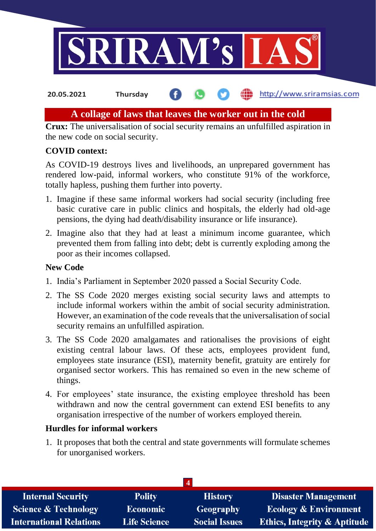

#### http://www.sriramsias.com **20.05.2021 Thursday**

# **A collage of laws that leaves the worker out in the cold**

**Crux:** The universalisation of social security remains an unfulfilled aspiration in the new code on social security.

## **COVID context:**

As COVID-19 destroys lives and livelihoods, an unprepared government has rendered low-paid, informal workers, who constitute 91% of the workforce, totally hapless, pushing them further into poverty.

- 1. Imagine if these same informal workers had social security (including free basic curative care in public clinics and hospitals, the elderly had old-age pensions, the dying had death/disability insurance or life insurance).
- 2. Imagine also that they had at least a minimum income guarantee, which prevented them from falling into debt; debt is currently exploding among the poor as their incomes collapsed.

#### **New Code**

- 1. India's Parliament in September 2020 passed a Social Security Code.
- 2. The SS Code 2020 merges existing social security laws and attempts to include informal workers within the ambit of social security administration. However, an examination of the code reveals that the universalisation of social security remains an unfulfilled aspiration.
- 3. The SS Code 2020 amalgamates and rationalises the provisions of eight existing central labour laws. Of these acts, employees provident fund, employees state insurance (ESI), maternity benefit, gratuity are entirely for organised sector workers. This has remained so even in the new scheme of things.
- 4. For employees' state insurance, the existing employee threshold has been withdrawn and now the central government can extend ESI benefits to any organisation irrespective of the number of workers employed therein.

## **Hurdles for informal workers**

1. It proposes that both the central and state governments will formulate schemes for unorganised workers.

| <b>Internal Security</b>        | <b>Polity</b>       | <b>History</b>       | <b>Disaster Management</b>              |
|---------------------------------|---------------------|----------------------|-----------------------------------------|
| <b>Science &amp; Technology</b> | <b>Economic</b>     | <b>Geography</b>     | <b>Ecology &amp; Environment</b>        |
| <b>International Relations</b>  | <b>Life Science</b> | <b>Social Issues</b> | <b>Ethics, Integrity &amp; Aptitude</b> |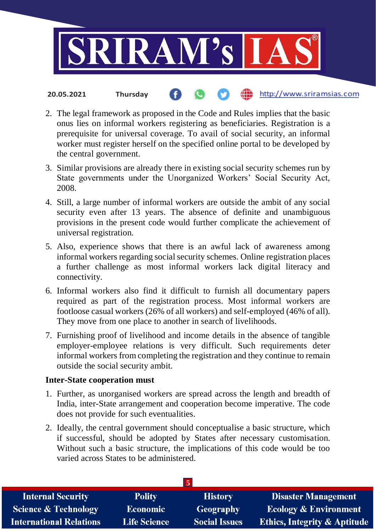

- http://www.sriramsias.com **20.05.2021 Thursday**
- 2. The legal framework as proposed in the Code and Rules implies that the basic onus lies on informal workers registering as beneficiaries. Registration is a prerequisite for universal coverage. To avail of social security, an informal worker must register herself on the specified online portal to be developed by the central government.
- 3. Similar provisions are already there in existing social security schemes run by State governments under the Unorganized Workers' Social Security Act, 2008.
- 4. Still, a large number of informal workers are outside the ambit of any social security even after 13 years. The absence of definite and unambiguous provisions in the present code would further complicate the achievement of universal registration.
- 5. Also, experience shows that there is an awful lack of awareness among informal workers regarding social security schemes. Online registration places a further challenge as most informal workers lack digital literacy and connectivity.
- 6. Informal workers also find it difficult to furnish all documentary papers required as part of the registration process. Most informal workers are footloose casual workers (26% of all workers) and self-employed (46% of all). They move from one place to another in search of livelihoods.
- 7. Furnishing proof of livelihood and income details in the absence of tangible employer-employee relations is very difficult. Such requirements deter informal workers from completing the registration and they continue to remain outside the social security ambit.

#### **Inter-State cooperation must**

- 1. Further, as unorganised workers are spread across the length and breadth of India, inter-State arrangement and cooperation become imperative. The code does not provide for such eventualities.
- 2. Ideally, the central government should conceptualise a basic structure, which if successful, should be adopted by States after necessary customisation. Without such a basic structure, the implications of this code would be too varied across States to be administered.

| <b>Internal Security</b>        | <b>Polity</b>       | <b>History</b>       | <b>Disaster Management</b>              |
|---------------------------------|---------------------|----------------------|-----------------------------------------|
| <b>Science &amp; Technology</b> | <b>Economic</b>     | <b>Geography</b>     | <b>Ecology &amp; Environment</b>        |
| <b>International Relations</b>  | <b>Life Science</b> | <b>Social Issues</b> | <b>Ethics, Integrity &amp; Aptitude</b> |